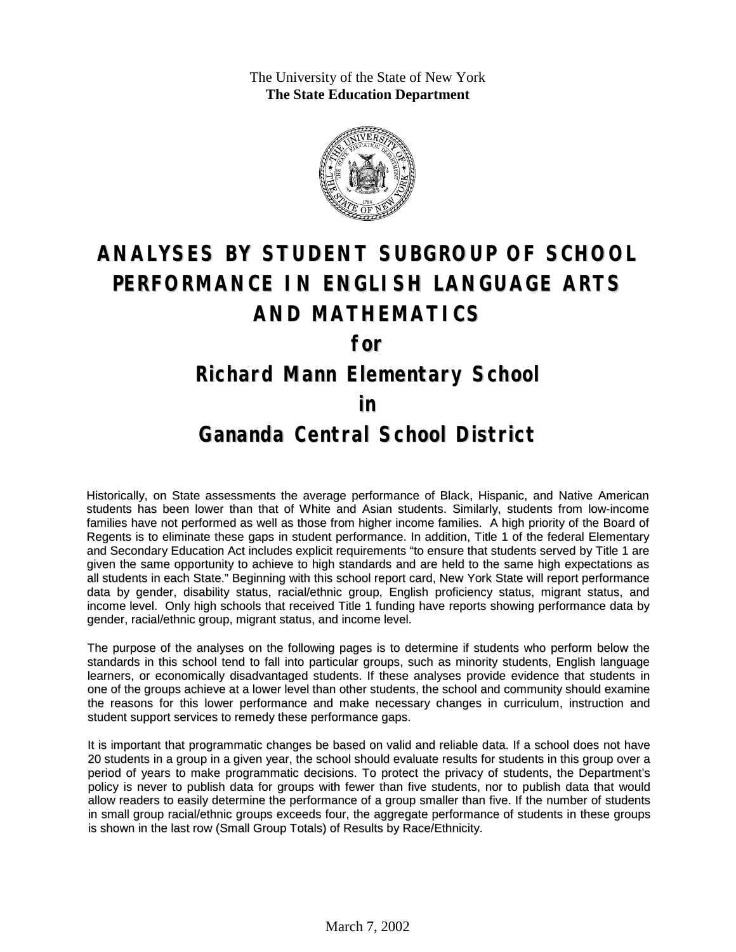The University of the State of New York **The State Education Department**



# **ANALYSES BY STUDENT SUBGROUP OF SCHOOL PERFORMANCE IN ENGLISH LANGUAGE ARTS AND MATHEMATICS**

**for**

#### **Richard Mann Elementary School**

#### **in**

### **Gananda Central School District**

Historically, on State assessments the average performance of Black, Hispanic, and Native American students has been lower than that of White and Asian students. Similarly, students from low-income families have not performed as well as those from higher income families. A high priority of the Board of Regents is to eliminate these gaps in student performance. In addition, Title 1 of the federal Elementary and Secondary Education Act includes explicit requirements "to ensure that students served by Title 1 are given the same opportunity to achieve to high standards and are held to the same high expectations as all students in each State." Beginning with this school report card, New York State will report performance data by gender, disability status, racial/ethnic group, English proficiency status, migrant status, and income level. Only high schools that received Title 1 funding have reports showing performance data by gender, racial/ethnic group, migrant status, and income level.

The purpose of the analyses on the following pages is to determine if students who perform below the standards in this school tend to fall into particular groups, such as minority students, English language learners, or economically disadvantaged students. If these analyses provide evidence that students in one of the groups achieve at a lower level than other students, the school and community should examine the reasons for this lower performance and make necessary changes in curriculum, instruction and student support services to remedy these performance gaps.

It is important that programmatic changes be based on valid and reliable data. If a school does not have 20 students in a group in a given year, the school should evaluate results for students in this group over a period of years to make programmatic decisions. To protect the privacy of students, the Department's policy is never to publish data for groups with fewer than five students, nor to publish data that would allow readers to easily determine the performance of a group smaller than five. If the number of students in small group racial/ethnic groups exceeds four, the aggregate performance of students in these groups is shown in the last row (Small Group Totals) of Results by Race/Ethnicity.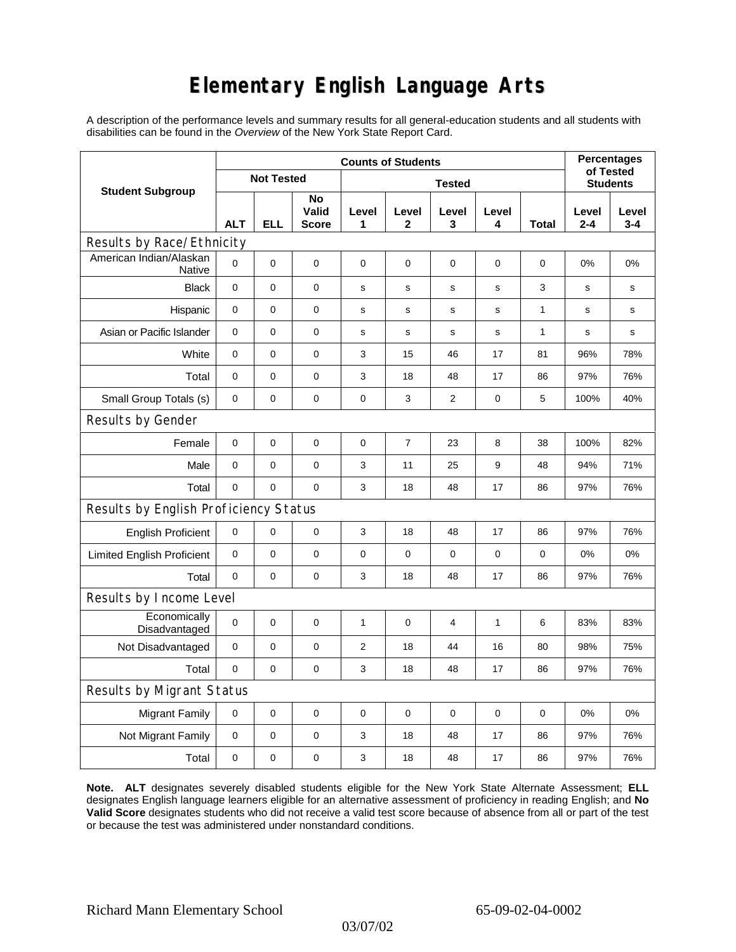# **Elementary English Language Arts**

A description of the performance levels and summary results for all general-education students and all students with disabilities can be found in the *Overview* of the New York State Report Card.

| <b>Student Subgroup</b>                  | <b>Counts of Students</b> |            |                             |                |                       |                |             |              | <b>Percentages</b><br>of Tested |                  |
|------------------------------------------|---------------------------|------------|-----------------------------|----------------|-----------------------|----------------|-------------|--------------|---------------------------------|------------------|
|                                          | <b>Not Tested</b>         |            |                             | <b>Tested</b>  |                       |                |             |              | <b>Students</b>                 |                  |
|                                          | <b>ALT</b>                | <b>ELL</b> | No<br>Valid<br><b>Score</b> | Level<br>1     | Level<br>$\mathbf{2}$ | Level<br>3     | Level<br>4  | <b>Total</b> | Level<br>$2 - 4$                | Level<br>$3 - 4$ |
| Results by Race/Ethnicity                |                           |            |                             |                |                       |                |             |              |                                 |                  |
| American Indian/Alaskan<br><b>Native</b> | $\mathbf 0$               | 0          | $\mathbf 0$                 | $\mathbf 0$    | $\mathbf 0$           | $\mathbf 0$    | 0           | $\mathbf 0$  | 0%                              | 0%               |
| <b>Black</b>                             | 0                         | 0          | $\pmb{0}$                   | $\mathbf s$    | s                     | s              | s           | 3            | $\mathbf s$                     | s                |
| Hispanic                                 | 0                         | 0          | $\pmb{0}$                   | s              | $\mathsf{s}$          | s              | s           | 1            | s                               | s                |
| Asian or Pacific Islander                | $\mathbf 0$               | 0          | 0                           | s              | $\mathbf s$           | ${\bf s}$      | $\mathbf s$ | $\mathbf{1}$ | $\mathbf s$                     | s                |
| White                                    | $\mathbf 0$               | 0          | $\mathbf 0$                 | 3              | 15                    | 46             | 17          | 81           | 96%                             | 78%              |
| Total                                    | $\mathbf 0$               | 0          | $\pmb{0}$                   | 3              | 18                    | 48             | 17          | 86           | 97%                             | 76%              |
| Small Group Totals (s)                   | 0                         | 0          | 0                           | 0              | 3                     | $\overline{c}$ | 0           | 5            | 100%                            | 40%              |
| Results by Gender                        |                           |            |                             |                |                       |                |             |              |                                 |                  |
| Female                                   | $\mathbf 0$               | 0          | $\pmb{0}$                   | $\pmb{0}$      | $\overline{7}$        | 23             | 8           | 38           | 100%                            | 82%              |
| Male                                     | $\mathbf 0$               | 0          | 0                           | 3              | 11                    | 25             | 9           | 48           | 94%                             | 71%              |
| Total                                    | $\mathbf 0$               | 0          | 0                           | 3              | 18                    | 48             | 17          | 86           | 97%                             | 76%              |
| Results by English Proficiency Status    |                           |            |                             |                |                       |                |             |              |                                 |                  |
| <b>English Proficient</b>                | 0                         | 0          | $\pmb{0}$                   | 3              | 18                    | 48             | 17          | 86           | 97%                             | 76%              |
| <b>Limited English Proficient</b>        | $\mathbf 0$               | 0          | $\pmb{0}$                   | $\pmb{0}$      | 0                     | $\mathbf 0$    | 0           | 0            | 0%                              | 0%               |
| Total                                    | $\mathbf 0$               | 0          | $\pmb{0}$                   | 3              | 18                    | 48             | 17          | 86           | 97%                             | 76%              |
| Results by Income Level                  |                           |            |                             |                |                       |                |             |              |                                 |                  |
| Economically<br>Disadvantaged            | $\pmb{0}$                 | 0          | $\mathbf 0$                 | $\mathbf{1}$   | $\mathbf 0$           | $\overline{4}$ | 1           | 6            | 83%                             | 83%              |
| Not Disadvantaged                        | 0                         | 0          | $\pmb{0}$                   | $\overline{2}$ | 18                    | 44             | 16          | 80           | 98%                             | 75%              |
| Total                                    | $\mathbf 0$               | 0          | 0                           | 3              | 18                    | 48             | 17          | 86           | 97%                             | 76%              |
| Results by Migrant Status                |                           |            |                             |                |                       |                |             |              |                                 |                  |
| <b>Migrant Family</b>                    | 0                         | 0          | $\pmb{0}$                   | $\pmb{0}$      | 0                     | $\mathbf 0$    | 0           | 0            | 0%                              | 0%               |
| Not Migrant Family                       | $\mathbf 0$               | 0          | $\pmb{0}$                   | 3              | 18                    | 48             | 17          | 86           | 97%                             | 76%              |
| Total                                    | 0                         | 0          | $\pmb{0}$                   | 3              | 18                    | 48             | 17          | 86           | 97%                             | 76%              |

**Note. ALT** designates severely disabled students eligible for the New York State Alternate Assessment; **ELL** designates English language learners eligible for an alternative assessment of proficiency in reading English; and **No Valid Score** designates students who did not receive a valid test score because of absence from all or part of the test or because the test was administered under nonstandard conditions.

03/07/02